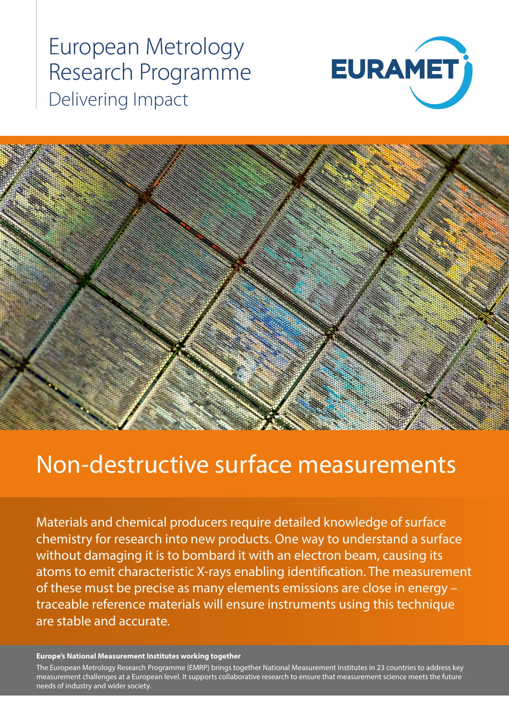# European Metrology Research Programme Delivering Impact





# Non-destructive surface measurements

Materials and chemical producers require detailed knowledge of surface chemistry for research into new products. One way to understand a surface without damaging it is to bombard it with an electron beam, causing its atoms to emit characteristic X-rays enabling identification. The measurement of these must be precise as many elements emissions are close in energy – traceable reference materials will ensure instruments using this technique are stable and accurate.

#### **Europe's National Measurement Institutes working together**

measurement challenges at a European level. It supports collaborative research to ensure that measurement science meets the future<br>needs of industry and wider society The European Metrology Research Programme (EMRP) brings together National Measurement Institutes in 23 countries to address key needs of industry and wider society.